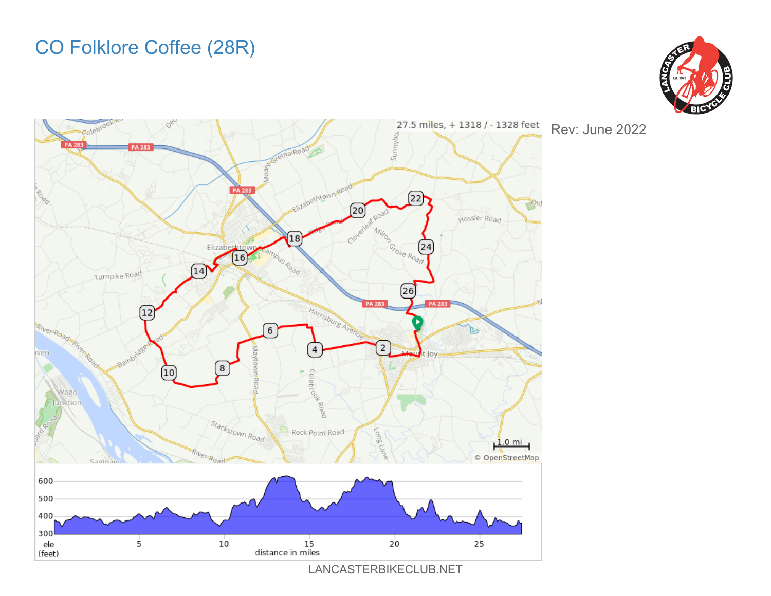## CO Folklore Coffee (28R)





Rev: June 2022

LANCASTERBIKECLUB.NET